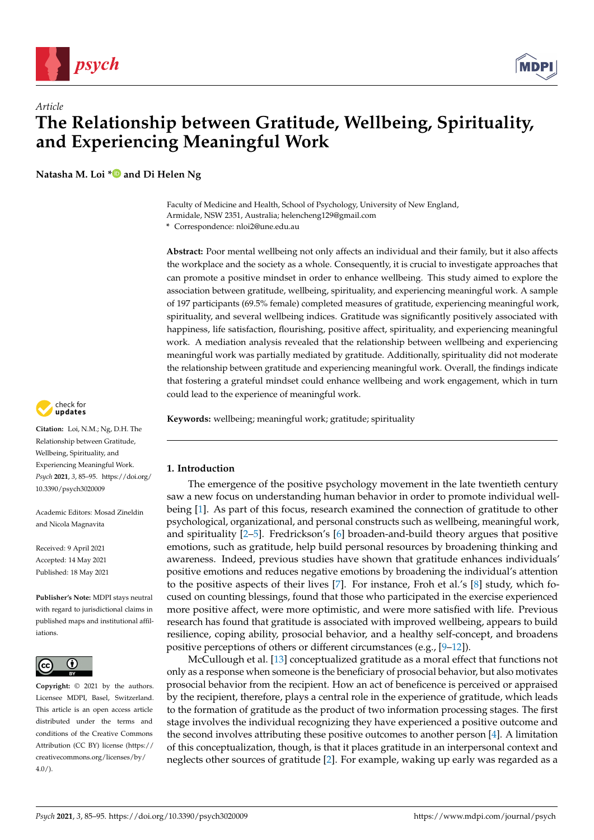

# *Article* **The Relationship between Gratitude, Wellbeing, Spirituality, and Experiencing Meaningful Work**

**Natasha M. Loi [\\*](https://orcid.org/0000-0002-3561-1974) and Di Helen Ng**

Faculty of Medicine and Health, School of Psychology, University of New England, Armidale, NSW 2351, Australia; helencheng129@gmail.com

**\*** Correspondence: nloi2@une.edu.au

**Abstract:** Poor mental wellbeing not only affects an individual and their family, but it also affects the workplace and the society as a whole. Consequently, it is crucial to investigate approaches that can promote a positive mindset in order to enhance wellbeing. This study aimed to explore the association between gratitude, wellbeing, spirituality, and experiencing meaningful work. A sample of 197 participants (69.5% female) completed measures of gratitude, experiencing meaningful work, spirituality, and several wellbeing indices. Gratitude was significantly positively associated with happiness, life satisfaction, flourishing, positive affect, spirituality, and experiencing meaningful work. A mediation analysis revealed that the relationship between wellbeing and experiencing meaningful work was partially mediated by gratitude. Additionally, spirituality did not moderate the relationship between gratitude and experiencing meaningful work. Overall, the findings indicate that fostering a grateful mindset could enhance wellbeing and work engagement, which in turn could lead to the experience of meaningful work.

**Keywords:** wellbeing; meaningful work; gratitude; spirituality

# **1. Introduction**

The emergence of the positive psychology movement in the late twentieth century saw a new focus on understanding human behavior in order to promote individual wellbeing [\[1\]](#page-8-0). As part of this focus, research examined the connection of gratitude to other psychological, organizational, and personal constructs such as wellbeing, meaningful work, and spirituality [\[2](#page-8-1)[–5\]](#page-8-2). Fredrickson's [\[6\]](#page-8-3) broaden-and-build theory argues that positive emotions, such as gratitude, help build personal resources by broadening thinking and awareness. Indeed, previous studies have shown that gratitude enhances individuals' positive emotions and reduces negative emotions by broadening the individual's attention to the positive aspects of their lives [\[7\]](#page-8-4). For instance, Froh et al.'s [\[8\]](#page-8-5) study, which focused on counting blessings, found that those who participated in the exercise experienced more positive affect, were more optimistic, and were more satisfied with life. Previous research has found that gratitude is associated with improved wellbeing, appears to build resilience, coping ability, prosocial behavior, and a healthy self-concept, and broadens positive perceptions of others or different circumstances (e.g., [\[9](#page-8-6)[–12\]](#page-8-7)).

McCullough et al. [\[13\]](#page-8-8) conceptualized gratitude as a moral effect that functions not only as a response when someone is the beneficiary of prosocial behavior, but also motivates prosocial behavior from the recipient. How an act of beneficence is perceived or appraised by the recipient, therefore, plays a central role in the experience of gratitude, which leads to the formation of gratitude as the product of two information processing stages. The first stage involves the individual recognizing they have experienced a positive outcome and the second involves attributing these positive outcomes to another person [\[4\]](#page-8-9). A limitation of this conceptualization, though, is that it places gratitude in an interpersonal context and neglects other sources of gratitude [\[2\]](#page-8-1). For example, waking up early was regarded as a



**Citation:** Loi, N.M.; Ng, D.H. The Relationship between Gratitude, Wellbeing, Spirituality, and Experiencing Meaningful Work. *Psych* **2021**, *3*, 85–95. [https://doi.org/](https://doi.org/10.3390/psych3020009) [10.3390/psych3020009](https://doi.org/10.3390/psych3020009)

Academic Editors: Mosad Zineldin and Nicola Magnavita

Received: 9 April 2021 Accepted: 14 May 2021 Published: 18 May 2021

**Publisher's Note:** MDPI stays neutral with regard to jurisdictional claims in published maps and institutional affiliations.



**Copyright:** © 2021 by the authors. Licensee MDPI, Basel, Switzerland. This article is an open access article distributed under the terms and conditions of the Creative Commons Attribution (CC BY) license (https:/[/](https://creativecommons.org/licenses/by/4.0/) [creativecommons.org/licenses/by/](https://creativecommons.org/licenses/by/4.0/)  $4.0/$ ).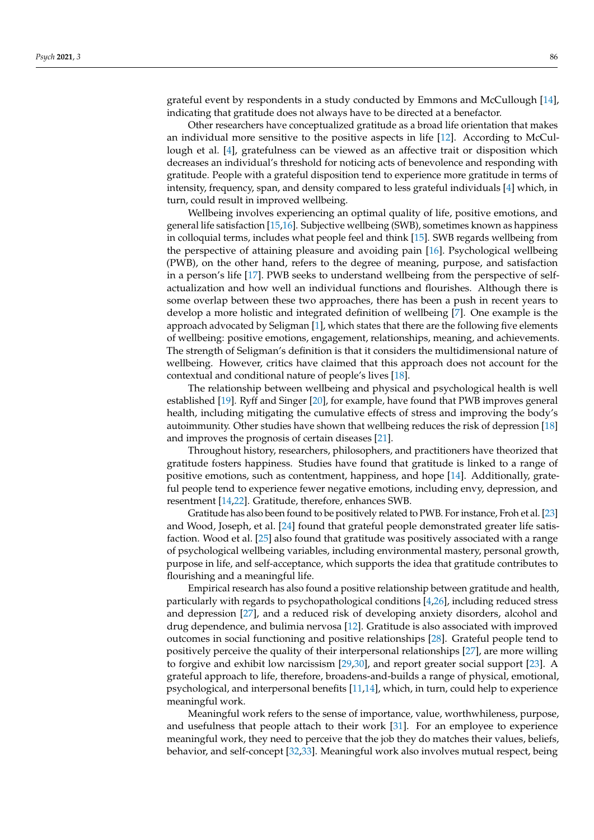grateful event by respondents in a study conducted by Emmons and McCullough [\[14\]](#page-8-10), indicating that gratitude does not always have to be directed at a benefactor.

Other researchers have conceptualized gratitude as a broad life orientation that makes an individual more sensitive to the positive aspects in life [\[12\]](#page-8-7). According to McCullough et al. [\[4\]](#page-8-9), gratefulness can be viewed as an affective trait or disposition which decreases an individual's threshold for noticing acts of benevolence and responding with gratitude. People with a grateful disposition tend to experience more gratitude in terms of intensity, frequency, span, and density compared to less grateful individuals [\[4\]](#page-8-9) which, in turn, could result in improved wellbeing.

Wellbeing involves experiencing an optimal quality of life, positive emotions, and general life satisfaction [\[15](#page-8-11)[,16\]](#page-8-12). Subjective wellbeing (SWB), sometimes known as happiness in colloquial terms, includes what people feel and think [\[15\]](#page-8-11). SWB regards wellbeing from the perspective of attaining pleasure and avoiding pain [\[16\]](#page-8-12). Psychological wellbeing (PWB), on the other hand, refers to the degree of meaning, purpose, and satisfaction in a person's life [\[17\]](#page-8-13). PWB seeks to understand wellbeing from the perspective of selfactualization and how well an individual functions and flourishes. Although there is some overlap between these two approaches, there has been a push in recent years to develop a more holistic and integrated definition of wellbeing [\[7\]](#page-8-4). One example is the approach advocated by Seligman [\[1\]](#page-8-0), which states that there are the following five elements of wellbeing: positive emotions, engagement, relationships, meaning, and achievements. The strength of Seligman's definition is that it considers the multidimensional nature of wellbeing. However, critics have claimed that this approach does not account for the contextual and conditional nature of people's lives [\[18\]](#page-8-14).

The relationship between wellbeing and physical and psychological health is well established [\[19\]](#page-8-15). Ryff and Singer [\[20\]](#page-8-16), for example, have found that PWB improves general health, including mitigating the cumulative effects of stress and improving the body's autoimmunity. Other studies have shown that wellbeing reduces the risk of depression [\[18\]](#page-8-14) and improves the prognosis of certain diseases [\[21\]](#page-8-17).

Throughout history, researchers, philosophers, and practitioners have theorized that gratitude fosters happiness. Studies have found that gratitude is linked to a range of positive emotions, such as contentment, happiness, and hope [\[14\]](#page-8-10). Additionally, grateful people tend to experience fewer negative emotions, including envy, depression, and resentment [\[14,](#page-8-10)[22\]](#page-8-18). Gratitude, therefore, enhances SWB.

Gratitude has also been found to be positively related to PWB. For instance, Froh et al. [\[23\]](#page-8-19) and Wood, Joseph, et al. [\[24\]](#page-8-20) found that grateful people demonstrated greater life satisfaction. Wood et al. [\[25\]](#page-8-21) also found that gratitude was positively associated with a range of psychological wellbeing variables, including environmental mastery, personal growth, purpose in life, and self-acceptance, which supports the idea that gratitude contributes to flourishing and a meaningful life.

Empirical research has also found a positive relationship between gratitude and health, particularly with regards to psychopathological conditions [\[4](#page-8-9)[,26\]](#page-8-22), including reduced stress and depression [\[27\]](#page-8-23), and a reduced risk of developing anxiety disorders, alcohol and drug dependence, and bulimia nervosa [\[12\]](#page-8-7). Gratitude is also associated with improved outcomes in social functioning and positive relationships [\[28\]](#page-9-0). Grateful people tend to positively perceive the quality of their interpersonal relationships [\[27\]](#page-8-23), are more willing to forgive and exhibit low narcissism [\[29,](#page-9-1)[30\]](#page-9-2), and report greater social support [\[23\]](#page-8-19). A grateful approach to life, therefore, broadens-and-builds a range of physical, emotional, psychological, and interpersonal benefits [\[11](#page-8-24)[,14\]](#page-8-10), which, in turn, could help to experience meaningful work.

Meaningful work refers to the sense of importance, value, worthwhileness, purpose, and usefulness that people attach to their work [\[31\]](#page-9-3). For an employee to experience meaningful work, they need to perceive that the job they do matches their values, beliefs, behavior, and self-concept [\[32](#page-9-4)[,33\]](#page-9-5). Meaningful work also involves mutual respect, being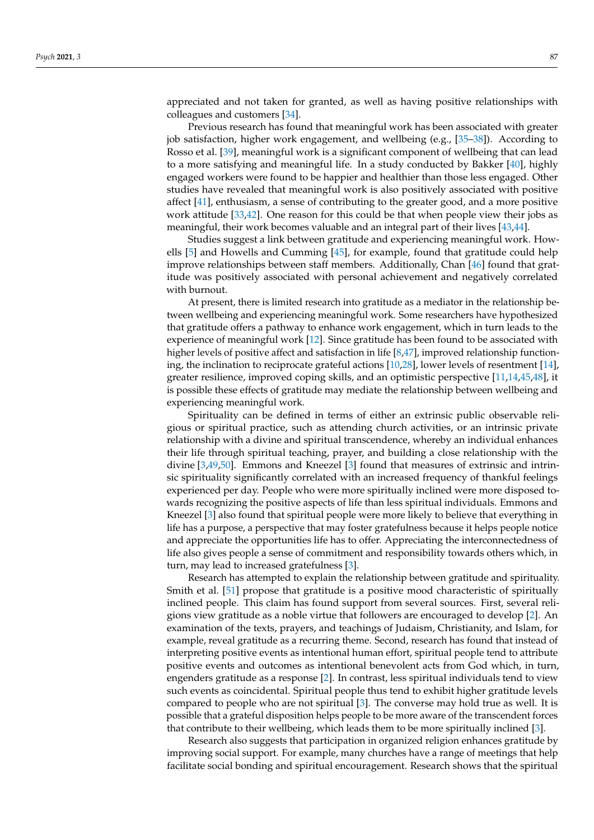appreciated and not taken for granted, as well as having positive relationships with colleagues and customers [\[34\]](#page-9-6).

Previous research has found that meaningful work has been associated with greater job satisfaction, higher work engagement, and wellbeing (e.g., [\[35–](#page-9-7)[38\]](#page-9-8)). According to Rosso et al. [\[39\]](#page-9-9), meaningful work is a significant component of wellbeing that can lead to a more satisfying and meaningful life. In a study conducted by Bakker [\[40\]](#page-9-10), highly engaged workers were found to be happier and healthier than those less engaged. Other studies have revealed that meaningful work is also positively associated with positive affect [\[41\]](#page-9-11), enthusiasm, a sense of contributing to the greater good, and a more positive work attitude [\[33](#page-9-5)[,42\]](#page-9-12). One reason for this could be that when people view their jobs as meaningful, their work becomes valuable and an integral part of their lives [\[43](#page-9-13)[,44\]](#page-9-14).

Studies suggest a link between gratitude and experiencing meaningful work. Howells [\[5\]](#page-8-2) and Howells and Cumming [\[45\]](#page-9-15), for example, found that gratitude could help improve relationships between staff members. Additionally, Chan [\[46\]](#page-9-16) found that gratitude was positively associated with personal achievement and negatively correlated with burnout.

At present, there is limited research into gratitude as a mediator in the relationship between wellbeing and experiencing meaningful work. Some researchers have hypothesized that gratitude offers a pathway to enhance work engagement, which in turn leads to the experience of meaningful work [\[12\]](#page-8-7). Since gratitude has been found to be associated with higher levels of positive affect and satisfaction in life [\[8](#page-8-5)[,47\]](#page-9-17), improved relationship functioning, the inclination to reciprocate grateful actions [\[10](#page-8-25)[,28\]](#page-9-0), lower levels of resentment [\[14\]](#page-8-10), greater resilience, improved coping skills, and an optimistic perspective [\[11](#page-8-24)[,14](#page-8-10)[,45](#page-9-15)[,48\]](#page-9-18), it is possible these effects of gratitude may mediate the relationship between wellbeing and experiencing meaningful work.

Spirituality can be defined in terms of either an extrinsic public observable religious or spiritual practice, such as attending church activities, or an intrinsic private relationship with a divine and spiritual transcendence, whereby an individual enhances their life through spiritual teaching, prayer, and building a close relationship with the divine [\[3,](#page-8-26)[49,](#page-9-19)[50\]](#page-9-20). Emmons and Kneezel [\[3\]](#page-8-26) found that measures of extrinsic and intrinsic spirituality significantly correlated with an increased frequency of thankful feelings experienced per day. People who were more spiritually inclined were more disposed towards recognizing the positive aspects of life than less spiritual individuals. Emmons and Kneezel [\[3\]](#page-8-26) also found that spiritual people were more likely to believe that everything in life has a purpose, a perspective that may foster gratefulness because it helps people notice and appreciate the opportunities life has to offer. Appreciating the interconnectedness of life also gives people a sense of commitment and responsibility towards others which, in turn, may lead to increased gratefulness [\[3\]](#page-8-26).

Research has attempted to explain the relationship between gratitude and spirituality. Smith et al. [\[51\]](#page-9-21) propose that gratitude is a positive mood characteristic of spiritually inclined people. This claim has found support from several sources. First, several religions view gratitude as a noble virtue that followers are encouraged to develop [\[2\]](#page-8-1). An examination of the texts, prayers, and teachings of Judaism, Christianity, and Islam, for example, reveal gratitude as a recurring theme. Second, research has found that instead of interpreting positive events as intentional human effort, spiritual people tend to attribute positive events and outcomes as intentional benevolent acts from God which, in turn, engenders gratitude as a response [\[2\]](#page-8-1). In contrast, less spiritual individuals tend to view such events as coincidental. Spiritual people thus tend to exhibit higher gratitude levels compared to people who are not spiritual [\[3\]](#page-8-26). The converse may hold true as well. It is possible that a grateful disposition helps people to be more aware of the transcendent forces that contribute to their wellbeing, which leads them to be more spiritually inclined [\[3\]](#page-8-26).

Research also suggests that participation in organized religion enhances gratitude by improving social support. For example, many churches have a range of meetings that help facilitate social bonding and spiritual encouragement. Research shows that the spiritual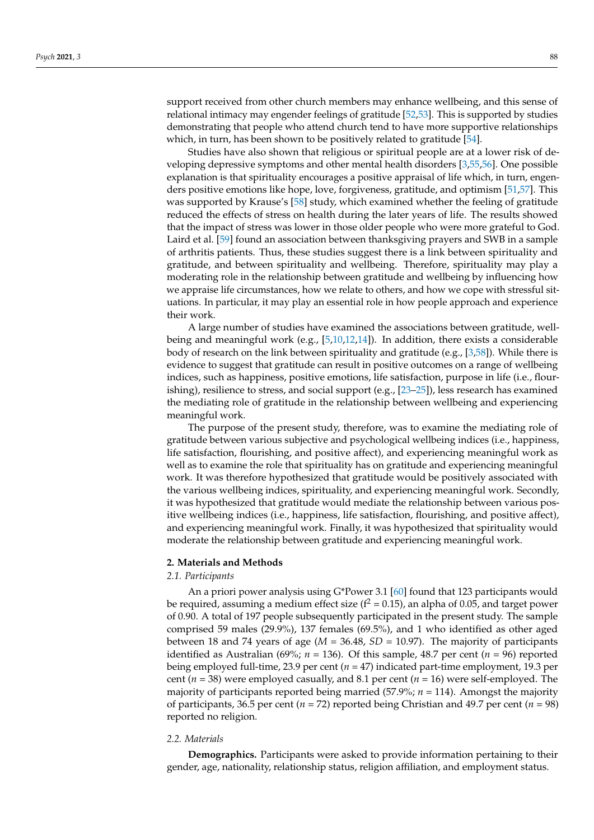support received from other church members may enhance wellbeing, and this sense of relational intimacy may engender feelings of gratitude [\[52](#page-9-22)[,53\]](#page-9-23). This is supported by studies demonstrating that people who attend church tend to have more supportive relationships which, in turn, has been shown to be positively related to gratitude [\[54\]](#page-9-24).

Studies have also shown that religious or spiritual people are at a lower risk of developing depressive symptoms and other mental health disorders [\[3](#page-8-26)[,55](#page-9-25)[,56\]](#page-9-26). One possible explanation is that spirituality encourages a positive appraisal of life which, in turn, engenders positive emotions like hope, love, forgiveness, gratitude, and optimism [\[51](#page-9-21)[,57\]](#page-9-27). This was supported by Krause's [\[58\]](#page-9-28) study, which examined whether the feeling of gratitude reduced the effects of stress on health during the later years of life. The results showed that the impact of stress was lower in those older people who were more grateful to God. Laird et al. [\[59\]](#page-10-0) found an association between thanksgiving prayers and SWB in a sample of arthritis patients. Thus, these studies suggest there is a link between spirituality and gratitude, and between spirituality and wellbeing. Therefore, spirituality may play a moderating role in the relationship between gratitude and wellbeing by influencing how we appraise life circumstances, how we relate to others, and how we cope with stressful situations. In particular, it may play an essential role in how people approach and experience their work.

A large number of studies have examined the associations between gratitude, wellbeing and meaningful work (e.g., [\[5,](#page-8-2)[10,](#page-8-25)[12,](#page-8-7)[14\]](#page-8-10)). In addition, there exists a considerable body of research on the link between spirituality and gratitude (e.g., [\[3,](#page-8-26)[58\]](#page-9-28)). While there is evidence to suggest that gratitude can result in positive outcomes on a range of wellbeing indices, such as happiness, positive emotions, life satisfaction, purpose in life (i.e., flourishing), resilience to stress, and social support (e.g., [\[23](#page-8-19)[–25\]](#page-8-21)), less research has examined the mediating role of gratitude in the relationship between wellbeing and experiencing meaningful work.

The purpose of the present study, therefore, was to examine the mediating role of gratitude between various subjective and psychological wellbeing indices (i.e., happiness, life satisfaction, flourishing, and positive affect), and experiencing meaningful work as well as to examine the role that spirituality has on gratitude and experiencing meaningful work. It was therefore hypothesized that gratitude would be positively associated with the various wellbeing indices, spirituality, and experiencing meaningful work. Secondly, it was hypothesized that gratitude would mediate the relationship between various positive wellbeing indices (i.e., happiness, life satisfaction, flourishing, and positive affect), and experiencing meaningful work. Finally, it was hypothesized that spirituality would moderate the relationship between gratitude and experiencing meaningful work.

# **2. Materials and Methods**

# *2.1. Participants*

An a priori power analysis using G\*Power 3.1 [\[60\]](#page-10-1) found that 123 participants would be required, assuming a medium effect size ( $f^2 = 0.15$ ), an alpha of 0.05, and target power of 0.90. A total of 197 people subsequently participated in the present study. The sample comprised 59 males (29.9%), 137 females (69.5%), and 1 who identified as other aged between 18 and 74 years of age ( $M = 36.48$ ,  $SD = 10.97$ ). The majority of participants identified as Australian (69%;  $n = 136$ ). Of this sample, 48.7 per cent ( $n = 96$ ) reported being employed full-time, 23.9 per cent (*n* = 47) indicated part-time employment, 19.3 per cent (*n* = 38) were employed casually, and 8.1 per cent (*n* = 16) were self-employed. The majority of participants reported being married (57.9%; *n* = 114). Amongst the majority of participants, 36.5 per cent ( $n = 72$ ) reported being Christian and 49.7 per cent ( $n = 98$ ) reported no religion.

# *2.2. Materials*

**Demographics.** Participants were asked to provide information pertaining to their gender, age, nationality, relationship status, religion affiliation, and employment status.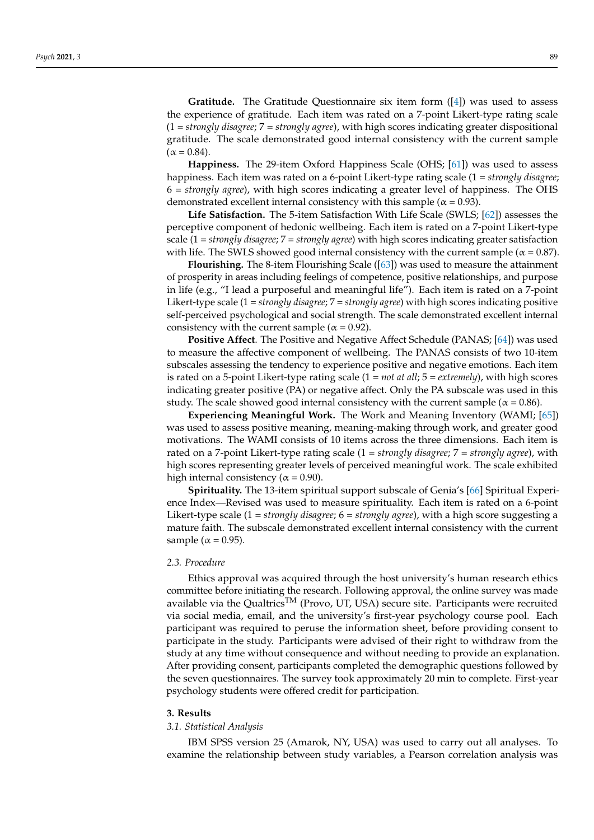**Gratitude.** The Gratitude Questionnaire six item form ([\[4\]](#page-8-9)) was used to assess the experience of gratitude. Each item was rated on a 7-point Likert-type rating scale (1 = *strongly disagree*; 7 = *strongly agree*), with high scores indicating greater dispositional gratitude. The scale demonstrated good internal consistency with the current sample  $(\alpha = 0.84)$ .

**Happiness.** The 29-item Oxford Happiness Scale (OHS; [\[61\]](#page-10-2)) was used to assess happiness. Each item was rated on a 6-point Likert-type rating scale (1 = *strongly disagree*; 6 *= strongly agree*), with high scores indicating a greater level of happiness. The OHS demonstrated excellent internal consistency with this sample ( $\alpha$  = 0.93).

**Life Satisfaction.** The 5-item Satisfaction With Life Scale (SWLS; [\[62\]](#page-10-3)) assesses the perceptive component of hedonic wellbeing. Each item is rated on a 7-point Likert-type scale (1 = *strongly disagree*; 7 = *strongly agree*) with high scores indicating greater satisfaction with life. The SWLS showed good internal consistency with the current sample ( $\alpha$  = 0.87).

**Flourishing.** The 8-item Flourishing Scale ([\[63\]](#page-10-4)) was used to measure the attainment of prosperity in areas including feelings of competence, positive relationships, and purpose in life (e.g., "I lead a purposeful and meaningful life"). Each item is rated on a 7-point Likert-type scale (1 = *strongly disagree*; 7 = *strongly agree*) with high scores indicating positive self-perceived psychological and social strength. The scale demonstrated excellent internal consistency with the current sample ( $\alpha$  = 0.92).

**Positive Affect**. The Positive and Negative Affect Schedule (PANAS; [\[64\]](#page-10-5)) was used to measure the affective component of wellbeing. The PANAS consists of two 10-item subscales assessing the tendency to experience positive and negative emotions. Each item is rated on a 5-point Likert-type rating scale (1 = *not at all*; 5 = *extremely*), with high scores indicating greater positive (PA) or negative affect. Only the PA subscale was used in this study. The scale showed good internal consistency with the current sample ( $\alpha$  = 0.86).

**Experiencing Meaningful Work.** The Work and Meaning Inventory (WAMI; [\[65\]](#page-10-6)) was used to assess positive meaning, meaning-making through work, and greater good motivations. The WAMI consists of 10 items across the three dimensions. Each item is rated on a 7-point Likert-type rating scale (1 = *strongly disagree*; 7 = *strongly agree*), with high scores representing greater levels of perceived meaningful work. The scale exhibited high internal consistency ( $\alpha$  = 0.90).

**Spirituality.** The 13-item spiritual support subscale of Genia's [\[66\]](#page-10-7) Spiritual Experience Index—Revised was used to measure spirituality. Each item is rated on a 6-point Likert-type scale (1 = *strongly disagree*; 6 = *strongly agree*), with a high score suggesting a mature faith. The subscale demonstrated excellent internal consistency with the current sample ( $\alpha$  = 0.95).

# *2.3. Procedure*

Ethics approval was acquired through the host university's human research ethics committee before initiating the research. Following approval, the online survey was made available via the Qualtrics<sup>TM</sup> (Provo, UT, USA) secure site. Participants were recruited via social media, email, and the university's first-year psychology course pool. Each participant was required to peruse the information sheet, before providing consent to participate in the study. Participants were advised of their right to withdraw from the study at any time without consequence and without needing to provide an explanation. After providing consent, participants completed the demographic questions followed by the seven questionnaires. The survey took approximately 20 min to complete. First-year psychology students were offered credit for participation.

## **3. Results**

#### *3.1. Statistical Analysis*

IBM SPSS version 25 (Amarok, NY, USA) was used to carry out all analyses. To examine the relationship between study variables, a Pearson correlation analysis was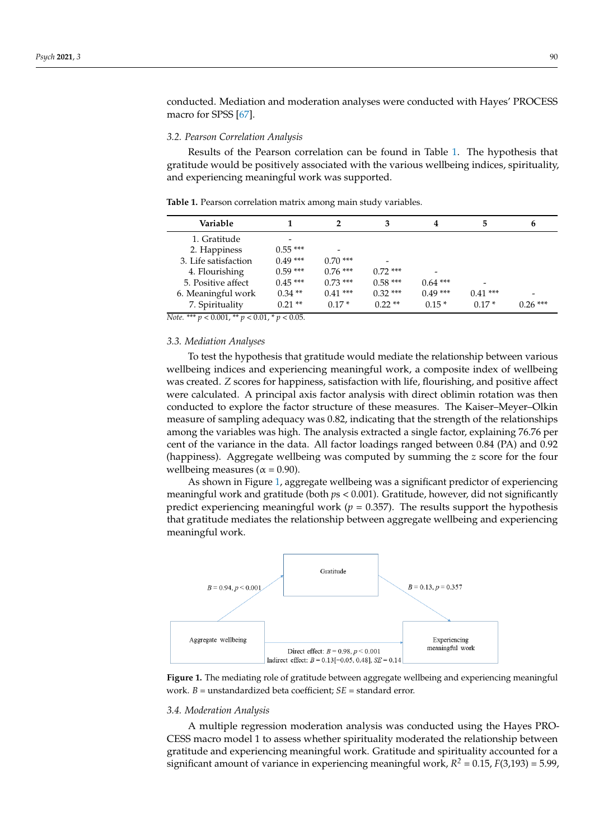conducted. Mediation and moderation analyses were conducted with Hayes' PROCESS macro for SPSS [\[67\]](#page-10-8).

#### *3.2. Pearson Correlation Analysis*

Results of the Pearson correlation can be found in Table [1.](#page-5-0) The hypothesis that gratitude would be positively associated with the various wellbeing indices, spirituality, and experiencing meaningful work was supported.

| Variable             |           |           | 3         | 4         | 5         | 6         |
|----------------------|-----------|-----------|-----------|-----------|-----------|-----------|
| 1. Gratitude         |           |           |           |           |           |           |
| 2. Happiness         | $0.55***$ |           |           |           |           |           |
| 3. Life satisfaction | $0.49***$ | $0.70***$ |           |           |           |           |
| 4. Flourishing       | $0.59***$ | $0.76***$ | $0.72***$ | -         |           |           |
| 5. Positive affect   | $0.45***$ | $0.73***$ | $0.58***$ | $0.64***$ |           |           |
| 6. Meaningful work   | $0.34**$  | $0.41***$ | $0.32***$ | $0.49***$ | $0.41***$ |           |
| 7. Spirituality      | $0.21$ ** | $0.17*$   | $0.22**$  | $0.15*$   | $0.17*$   | $0.26***$ |

<span id="page-5-0"></span>**Table 1.** Pearson correlation matrix among main study variables.

*Note.* \*\*\* *p* < 0.001, \*\* *p* < 0.01, \* *p* < 0.05.

#### *3.3. Mediation Analyses*

To test the hypothesis that gratitude would mediate the relationship between various wellbeing indices and experiencing meaningful work, a composite index of wellbeing was created. *Z* scores for happiness, satisfaction with life, flourishing, and positive affect were calculated. A principal axis factor analysis with direct oblimin rotation was then conducted to explore the factor structure of these measures. The Kaiser–Meyer–Olkin measure of sampling adequacy was 0.82, indicating that the strength of the relationships among the variables was high. The analysis extracted a single factor, explaining 76.76 per cent of the variance in the data. All factor loadings ranged between 0.84 (PA) and 0.92 (happiness). Aggregate wellbeing was computed by summing the *z* score for the four wellbeing measures ( $\alpha$  = 0.90).

As shown in Figure [1,](#page-5-1) aggregate wellbeing was a significant predictor of experiencing meaningful work and gratitude (both  $ps < 0.001$ ). Gratitude, however, did not significantly predict experiencing meaningful work  $(p = 0.357)$ . The results support the hypothesis that gratitude mediates the relationship between aggregate wellbeing and experiencing meaningful work.

<span id="page-5-1"></span>

**Figure 1.** The mediating role of gratitude between aggregate wellbeing and experiencing meaningful work. *B* = unstandardized beta coefficient; *SE* = standard error.

# 3.4. Moderation *Analysis*

*3.4. Moderation Analysis*  CESS macro model 1 to assess whether spirituality moderated the relationship between gratitude and experiencing meaningful work. Gratitude and spirituality accounted for a significant amount of variance in experiencing meaningful work,  $R^2 = 0.15$ ,  $F(3,193) = 5.99$ , A multiple regression moderation analysis was conducted using the Hayes PRO-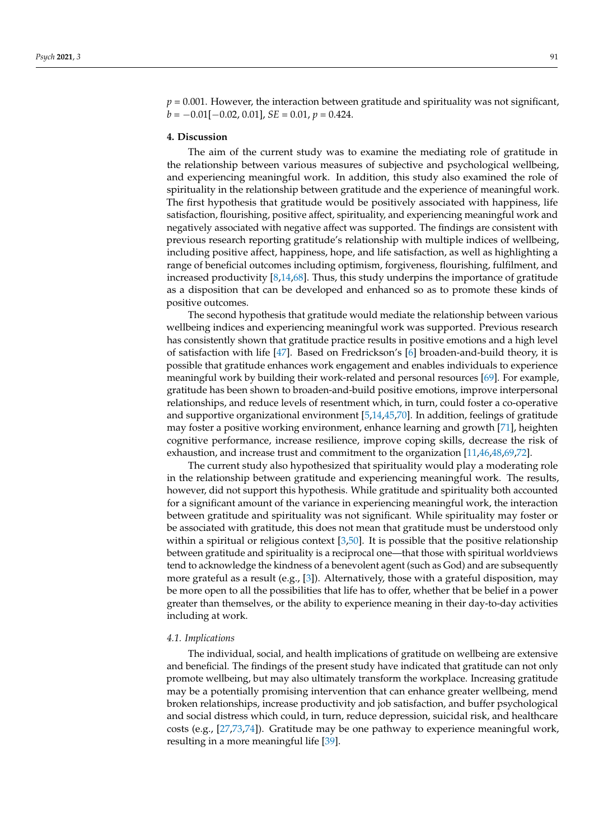$p = 0.001$ . However, the interaction between gratitude and spirituality was not significant,  $b = -0.01[-0.02, 0.01]$ , *SE* = 0.01,  $p = 0.424$ .

# **4. Discussion**

The aim of the current study was to examine the mediating role of gratitude in the relationship between various measures of subjective and psychological wellbeing, and experiencing meaningful work. In addition, this study also examined the role of spirituality in the relationship between gratitude and the experience of meaningful work. The first hypothesis that gratitude would be positively associated with happiness, life satisfaction, flourishing, positive affect, spirituality, and experiencing meaningful work and negatively associated with negative affect was supported. The findings are consistent with previous research reporting gratitude's relationship with multiple indices of wellbeing, including positive affect, happiness, hope, and life satisfaction, as well as highlighting a range of beneficial outcomes including optimism, forgiveness, flourishing, fulfilment, and increased productivity [\[8,](#page-8-5)[14,](#page-8-10)[68\]](#page-10-9). Thus, this study underpins the importance of gratitude as a disposition that can be developed and enhanced so as to promote these kinds of positive outcomes.

The second hypothesis that gratitude would mediate the relationship between various wellbeing indices and experiencing meaningful work was supported. Previous research has consistently shown that gratitude practice results in positive emotions and a high level of satisfaction with life [\[47\]](#page-9-17). Based on Fredrickson's [\[6\]](#page-8-3) broaden-and-build theory, it is possible that gratitude enhances work engagement and enables individuals to experience meaningful work by building their work-related and personal resources [\[69\]](#page-10-10). For example, gratitude has been shown to broaden-and-build positive emotions, improve interpersonal relationships, and reduce levels of resentment which, in turn, could foster a co-operative and supportive organizational environment [\[5,](#page-8-2)[14](#page-8-10)[,45](#page-9-15)[,70\]](#page-10-11). In addition, feelings of gratitude may foster a positive working environment, enhance learning and growth [\[71\]](#page-10-12), heighten cognitive performance, increase resilience, improve coping skills, decrease the risk of exhaustion, and increase trust and commitment to the organization [\[11,](#page-8-24)[46,](#page-9-16)[48,](#page-9-18)[69,](#page-10-10)[72\]](#page-10-13).

The current study also hypothesized that spirituality would play a moderating role in the relationship between gratitude and experiencing meaningful work. The results, however, did not support this hypothesis. While gratitude and spirituality both accounted for a significant amount of the variance in experiencing meaningful work, the interaction between gratitude and spirituality was not significant. While spirituality may foster or be associated with gratitude, this does not mean that gratitude must be understood only within a spiritual or religious context  $[3,50]$  $[3,50]$ . It is possible that the positive relationship between gratitude and spirituality is a reciprocal one—that those with spiritual worldviews tend to acknowledge the kindness of a benevolent agent (such as God) and are subsequently more grateful as a result (e.g., [\[3\]](#page-8-26)). Alternatively, those with a grateful disposition, may be more open to all the possibilities that life has to offer, whether that be belief in a power greater than themselves, or the ability to experience meaning in their day-to-day activities including at work.

# *4.1. Implications*

The individual, social, and health implications of gratitude on wellbeing are extensive and beneficial. The findings of the present study have indicated that gratitude can not only promote wellbeing, but may also ultimately transform the workplace. Increasing gratitude may be a potentially promising intervention that can enhance greater wellbeing, mend broken relationships, increase productivity and job satisfaction, and buffer psychological and social distress which could, in turn, reduce depression, suicidal risk, and healthcare costs (e.g., [\[27,](#page-8-23)[73,](#page-10-14)[74\]](#page-10-15)). Gratitude may be one pathway to experience meaningful work, resulting in a more meaningful life [\[39\]](#page-9-9).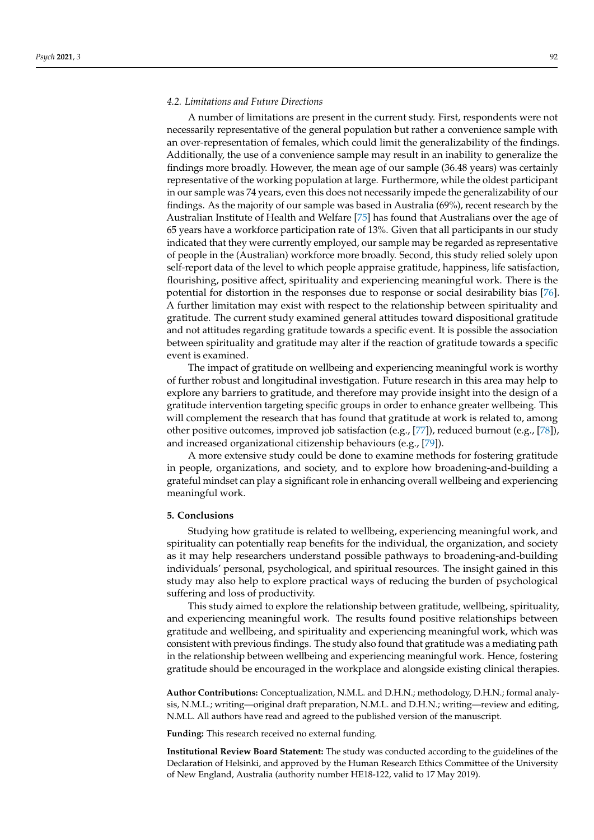## *4.2. Limitations and Future Directions*

A number of limitations are present in the current study. First, respondents were not necessarily representative of the general population but rather a convenience sample with an over-representation of females, which could limit the generalizability of the findings. Additionally, the use of a convenience sample may result in an inability to generalize the findings more broadly. However, the mean age of our sample (36.48 years) was certainly representative of the working population at large. Furthermore, while the oldest participant in our sample was 74 years, even this does not necessarily impede the generalizability of our findings. As the majority of our sample was based in Australia (69%), recent research by the Australian Institute of Health and Welfare [\[75\]](#page-10-16) has found that Australians over the age of 65 years have a workforce participation rate of 13%. Given that all participants in our study indicated that they were currently employed, our sample may be regarded as representative of people in the (Australian) workforce more broadly. Second, this study relied solely upon self-report data of the level to which people appraise gratitude, happiness, life satisfaction, flourishing, positive affect, spirituality and experiencing meaningful work. There is the potential for distortion in the responses due to response or social desirability bias [\[76\]](#page-10-17). A further limitation may exist with respect to the relationship between spirituality and gratitude. The current study examined general attitudes toward dispositional gratitude and not attitudes regarding gratitude towards a specific event. It is possible the association between spirituality and gratitude may alter if the reaction of gratitude towards a specific event is examined.

The impact of gratitude on wellbeing and experiencing meaningful work is worthy of further robust and longitudinal investigation. Future research in this area may help to explore any barriers to gratitude, and therefore may provide insight into the design of a gratitude intervention targeting specific groups in order to enhance greater wellbeing. This will complement the research that has found that gratitude at work is related to, among other positive outcomes, improved job satisfaction (e.g., [\[77\]](#page-10-18)), reduced burnout (e.g., [\[78\]](#page-10-19)), and increased organizational citizenship behaviours (e.g., [\[79\]](#page-10-20)).

A more extensive study could be done to examine methods for fostering gratitude in people, organizations, and society, and to explore how broadening-and-building a grateful mindset can play a significant role in enhancing overall wellbeing and experiencing meaningful work.

#### **5. Conclusions**

Studying how gratitude is related to wellbeing, experiencing meaningful work, and spirituality can potentially reap benefits for the individual, the organization, and society as it may help researchers understand possible pathways to broadening-and-building individuals' personal, psychological, and spiritual resources. The insight gained in this study may also help to explore practical ways of reducing the burden of psychological suffering and loss of productivity.

This study aimed to explore the relationship between gratitude, wellbeing, spirituality, and experiencing meaningful work. The results found positive relationships between gratitude and wellbeing, and spirituality and experiencing meaningful work, which was consistent with previous findings. The study also found that gratitude was a mediating path in the relationship between wellbeing and experiencing meaningful work. Hence, fostering gratitude should be encouraged in the workplace and alongside existing clinical therapies.

**Author Contributions:** Conceptualization, N.M.L. and D.H.N.; methodology, D.H.N.; formal analysis, N.M.L.; writing—original draft preparation, N.M.L. and D.H.N.; writing—review and editing, N.M.L. All authors have read and agreed to the published version of the manuscript.

**Funding:** This research received no external funding.

**Institutional Review Board Statement:** The study was conducted according to the guidelines of the Declaration of Helsinki, and approved by the Human Research Ethics Committee of the University of New England, Australia (authority number HE18-122, valid to 17 May 2019).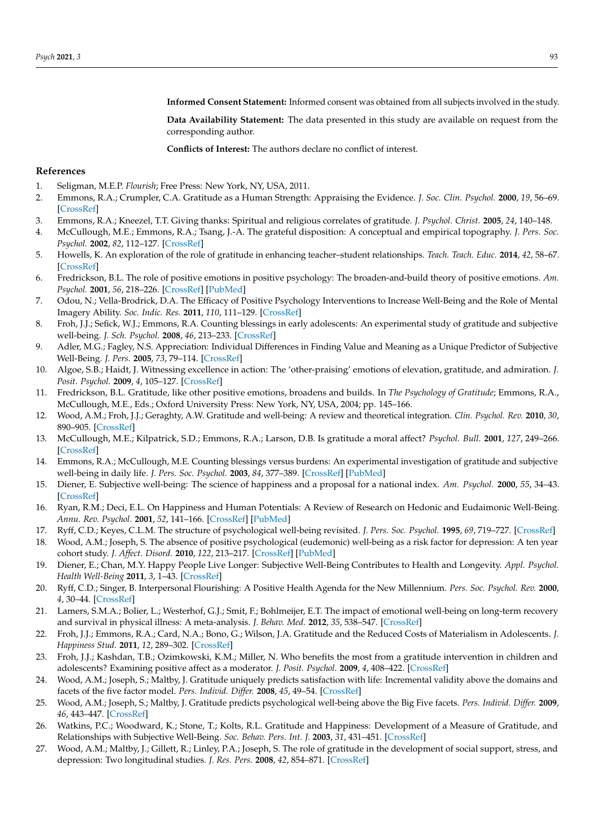**Informed Consent Statement:** Informed consent was obtained from all subjects involved in the study.

**Data Availability Statement:** The data presented in this study are available on request from the corresponding author.

**Conflicts of Interest:** The authors declare no conflict of interest.

# **References**

- <span id="page-8-0"></span>1. Seligman, M.E.P. *Flourish*; Free Press: New York, NY, USA, 2011.
- <span id="page-8-1"></span>2. Emmons, R.A.; Crumpler, C.A. Gratitude as a Human Strength: Appraising the Evidence. *J. Soc. Clin. Psychol.* **2000**, *19*, 56–69. [\[CrossRef\]](http://doi.org/10.1521/jscp.2000.19.1.56)
- <span id="page-8-26"></span>3. Emmons, R.A.; Kneezel, T.T. Giving thanks: Spiritual and religious correlates of gratitude. *J. Psychol. Christ.* **2005**, *24*, 140–148.
- <span id="page-8-9"></span>4. McCullough, M.E.; Emmons, R.A.; Tsang, J.-A. The grateful disposition: A conceptual and empirical topography. *J. Pers. Soc. Psychol.* **2002**, *82*, 112–127. [\[CrossRef\]](http://doi.org/10.1037/0022-3514.82.1.112)
- <span id="page-8-2"></span>5. Howells, K. An exploration of the role of gratitude in enhancing teacher–student relationships. *Teach. Teach. Educ.* **2014**, *42*, 58–67. [\[CrossRef\]](http://doi.org/10.1016/j.tate.2014.04.004)
- <span id="page-8-3"></span>6. Fredrickson, B.L. The role of positive emotions in positive psychology: The broaden-and-build theory of positive emotions. *Am. Psychol.* **2001**, *56*, 218–226. [\[CrossRef\]](http://doi.org/10.1037/0003-066X.56.3.218) [\[PubMed\]](http://www.ncbi.nlm.nih.gov/pubmed/11315248)
- <span id="page-8-4"></span>7. Odou, N.; Vella-Brodrick, D.A. The Efficacy of Positive Psychology Interventions to Increase Well-Being and the Role of Mental Imagery Ability. *Soc. Indic. Res.* **2011**, *110*, 111–129. [\[CrossRef\]](http://doi.org/10.1007/s11205-011-9919-1)
- <span id="page-8-5"></span>8. Froh, J.J.; Sefick, W.J.; Emmons, R.A. Counting blessings in early adolescents: An experimental study of gratitude and subjective well-being. *J. Sch. Psychol.* **2008**, *46*, 213–233. [\[CrossRef\]](http://doi.org/10.1016/j.jsp.2007.03.005)
- <span id="page-8-6"></span>9. Adler, M.G.; Fagley, N.S. Appreciation: Individual Differences in Finding Value and Meaning as a Unique Predictor of Subjective Well-Being. *J. Pers.* **2005**, *73*, 79–114. [\[CrossRef\]](http://doi.org/10.1111/j.1467-6494.2004.00305.x)
- <span id="page-8-25"></span>10. Algoe, S.B.; Haidt, J. Witnessing excellence in action: The 'other-praising' emotions of elevation, gratitude, and admiration. *J. Posit. Psychol.* **2009**, *4*, 105–127. [\[CrossRef\]](http://doi.org/10.1080/17439760802650519)
- <span id="page-8-24"></span>11. Fredrickson, B.L. Gratitude, like other positive emotions, broadens and builds. In *The Psychology of Gratitude*; Emmons, R.A., McCullough, M.E., Eds.; Oxford University Press: New York, NY, USA, 2004; pp. 145–166.
- <span id="page-8-7"></span>12. Wood, A.M.; Froh, J.J.; Geraghty, A.W. Gratitude and well-being: A review and theoretical integration. *Clin. Psychol. Rev.* **2010**, *30*, 890–905. [\[CrossRef\]](http://doi.org/10.1016/j.cpr.2010.03.005)
- <span id="page-8-8"></span>13. McCullough, M.E.; Kilpatrick, S.D.; Emmons, R.A.; Larson, D.B. Is gratitude a moral affect? *Psychol. Bull.* **2001**, *127*, 249–266. [\[CrossRef\]](http://doi.org/10.1037/0033-2909.127.2.249)
- <span id="page-8-10"></span>14. Emmons, R.A.; McCullough, M.E. Counting blessings versus burdens: An experimental investigation of gratitude and subjective well-being in daily life. *J. Pers. Soc. Psychol.* **2003**, *84*, 377–389. [\[CrossRef\]](http://doi.org/10.1037/0022-3514.84.2.377) [\[PubMed\]](http://www.ncbi.nlm.nih.gov/pubmed/12585811)
- <span id="page-8-11"></span>15. Diener, E. Subjective well-being: The science of happiness and a proposal for a national index. *Am. Psychol.* **2000**, *55*, 34–43. [\[CrossRef\]](http://doi.org/10.1037/0003-066X.55.1.34)
- <span id="page-8-12"></span>16. Ryan, R.M.; Deci, E.L. On Happiness and Human Potentials: A Review of Research on Hedonic and Eudaimonic Well-Being. *Annu. Rev. Psychol.* **2001**, *52*, 141–166. [\[CrossRef\]](http://doi.org/10.1146/annurev.psych.52.1.141) [\[PubMed\]](http://www.ncbi.nlm.nih.gov/pubmed/11148302)
- <span id="page-8-13"></span>17. Ryff, C.D.; Keyes, C.L.M. The structure of psychological well-being revisited. *J. Pers. Soc. Psychol.* **1995**, *69*, 719–727. [\[CrossRef\]](http://doi.org/10.1037/0022-3514.69.4.719)
- <span id="page-8-14"></span>18. Wood, A.M.; Joseph, S. The absence of positive psychological (eudemonic) well-being as a risk factor for depression: A ten year cohort study. *J. Affect. Disord.* **2010**, *122*, 213–217. [\[CrossRef\]](http://doi.org/10.1016/j.jad.2009.06.032) [\[PubMed\]](http://www.ncbi.nlm.nih.gov/pubmed/19706357)
- <span id="page-8-15"></span>19. Diener, E.; Chan, M.Y. Happy People Live Longer: Subjective Well-Being Contributes to Health and Longevity. *Appl. Psychol. Health Well-Being* **2011**, *3*, 1–43. [\[CrossRef\]](http://doi.org/10.1111/j.1758-0854.2010.01045.x)
- <span id="page-8-16"></span>20. Ryff, C.D.; Singer, B. Interpersonal Flourishing: A Positive Health Agenda for the New Millennium. *Pers. Soc. Psychol. Rev.* **2000**, *4*, 30–44. [\[CrossRef\]](http://doi.org/10.1207/S15327957PSPR0401_4)
- <span id="page-8-17"></span>21. Lamers, S.M.A.; Bolier, L.; Westerhof, G.J.; Smit, F.; Bohlmeijer, E.T. The impact of emotional well-being on long-term recovery and survival in physical illness: A meta-analysis. *J. Behav. Med.* **2012**, *35*, 538–547. [\[CrossRef\]](http://doi.org/10.1007/s10865-011-9379-8)
- <span id="page-8-18"></span>22. Froh, J.J.; Emmons, R.A.; Card, N.A.; Bono, G.; Wilson, J.A. Gratitude and the Reduced Costs of Materialism in Adolescents. *J. Happiness Stud.* **2011**, *12*, 289–302. [\[CrossRef\]](http://doi.org/10.1007/s10902-010-9195-9)
- <span id="page-8-19"></span>23. Froh, J.J.; Kashdan, T.B.; Ozimkowski, K.M.; Miller, N. Who benefits the most from a gratitude intervention in children and adolescents? Examining positive affect as a moderator. *J. Posit. Psychol.* **2009**, *4*, 408–422. [\[CrossRef\]](http://doi.org/10.1080/17439760902992464)
- <span id="page-8-20"></span>24. Wood, A.M.; Joseph, S.; Maltby, J. Gratitude uniquely predicts satisfaction with life: Incremental validity above the domains and facets of the five factor model. *Pers. Individ. Differ.* **2008**, *45*, 49–54. [\[CrossRef\]](http://doi.org/10.1016/j.paid.2008.02.019)
- <span id="page-8-21"></span>25. Wood, A.M.; Joseph, S.; Maltby, J. Gratitude predicts psychological well-being above the Big Five facets. *Pers. Individ. Differ.* **2009**, *46*, 443–447. [\[CrossRef\]](http://doi.org/10.1016/j.paid.2008.11.012)
- <span id="page-8-22"></span>26. Watkins, P.C.; Woodward, K.; Stone, T.; Kolts, R.L. Gratitude and Happiness: Development of a Measure of Gratitude, and Relationships with Subjective Well-Being. *Soc. Behav. Pers. Int. J.* **2003**, *31*, 431–451. [\[CrossRef\]](http://doi.org/10.2224/sbp.2003.31.5.431)
- <span id="page-8-23"></span>27. Wood, A.M.; Maltby, J.; Gillett, R.; Linley, P.A.; Joseph, S. The role of gratitude in the development of social support, stress, and depression: Two longitudinal studies. *J. Res. Pers.* **2008**, *42*, 854–871. [\[CrossRef\]](http://doi.org/10.1016/j.jrp.2007.11.003)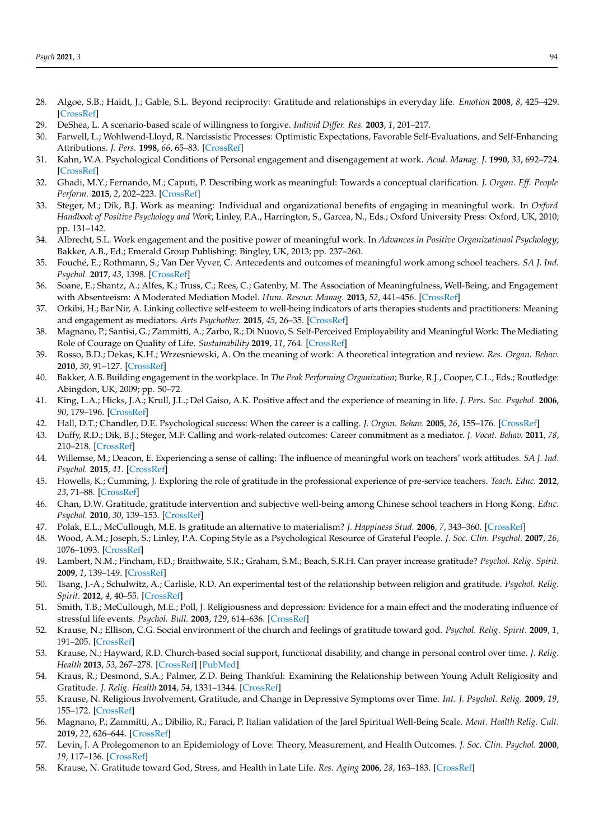- <span id="page-9-0"></span>28. Algoe, S.B.; Haidt, J.; Gable, S.L. Beyond reciprocity: Gratitude and relationships in everyday life. *Emotion* **2008**, *8*, 425–429. [\[CrossRef\]](http://doi.org/10.1037/1528-3542.8.3.425)
- <span id="page-9-1"></span>29. DeShea, L. A scenario-based scale of willingness to forgive. *Individ Differ. Res.* **2003**, *1*, 201–217.
- <span id="page-9-2"></span>30. Farwell, L.; Wohlwend-Lloyd, R. Narcissistic Processes: Optimistic Expectations, Favorable Self-Evaluations, and Self-Enhancing Attributions. *J. Pers.* **1998**, *66*, 65–83. [\[CrossRef\]](http://doi.org/10.1111/1467-6494.00003)
- <span id="page-9-3"></span>31. Kahn, W.A. Psychological Conditions of Personal engagement and disengagement at work. *Acad. Manag. J.* **1990**, *33*, 692–724. [\[CrossRef\]](http://doi.org/10.2307/256287)
- <span id="page-9-4"></span>32. Ghadi, M.Y.; Fernando, M.; Caputi, P. Describing work as meaningful: Towards a conceptual clarification. *J. Organ. Eff. People Perform.* **2015**, *2*, 202–223. [\[CrossRef\]](http://doi.org/10.1108/JOEPP-11-2014-0064)
- <span id="page-9-5"></span>33. Steger, M.; Dik, B.J. Work as meaning: Individual and organizational benefits of engaging in meaningful work. In *Oxford Handbook of Positive Psychology and Work*; Linley, P.A., Harrington, S., Garcea, N., Eds.; Oxford University Press: Oxford, UK, 2010; pp. 131–142.
- <span id="page-9-6"></span>34. Albrecht, S.L. Work engagement and the positive power of meaningful work. In *Advances in Positive Organizational Psychology*; Bakker, A.B., Ed.; Emerald Group Publishing: Bingley, UK, 2013; pp. 237–260.
- <span id="page-9-7"></span>35. Fouché, E.; Rothmann, S.; Van Der Vyver, C. Antecedents and outcomes of meaningful work among school teachers. *SA J. Ind. Psychol.* **2017**, *43*, 1398. [\[CrossRef\]](http://doi.org/10.4102/sajip.v43i0.1398)
- 36. Soane, E.; Shantz, A.; Alfes, K.; Truss, C.; Rees, C.; Gatenby, M. The Association of Meaningfulness, Well-Being, and Engagement with Absenteeism: A Moderated Mediation Model. *Hum. Resour. Manag.* **2013**, *52*, 441–456. [\[CrossRef\]](http://doi.org/10.1002/hrm.21534)
- 37. Orkibi, H.; Bar Nir, A. Linking collective self-esteem to well-being indicators of arts therapies students and practitioners: Meaning and engagement as mediators. *Arts Psychother.* **2015**, *45*, 26–35. [\[CrossRef\]](http://doi.org/10.1016/j.aip.2015.05.004)
- <span id="page-9-8"></span>38. Magnano, P.; Santisi, G.; Zammitti, A.; Zarbo, R.; Di Nuovo, S. Self-Perceived Employability and Meaningful Work: The Mediating Role of Courage on Quality of Life. *Sustainability* **2019**, *11*, 764. [\[CrossRef\]](http://doi.org/10.3390/su11030764)
- <span id="page-9-9"></span>39. Rosso, B.D.; Dekas, K.H.; Wrzesniewski, A. On the meaning of work: A theoretical integration and review. *Res. Organ. Behav.* **2010**, *30*, 91–127. [\[CrossRef\]](http://doi.org/10.1016/j.riob.2010.09.001)
- <span id="page-9-10"></span>40. Bakker, A.B. Building engagement in the workplace. In *The Peak Performing Organization*; Burke, R.J., Cooper, C.L., Eds.; Routledge: Abingdon, UK, 2009; pp. 50–72.
- <span id="page-9-11"></span>41. King, L.A.; Hicks, J.A.; Krull, J.L.; Del Gaiso, A.K. Positive affect and the experience of meaning in life. *J. Pers. Soc. Psychol.* **2006**, *90*, 179–196. [\[CrossRef\]](http://doi.org/10.1037/0022-3514.90.1.179)
- <span id="page-9-12"></span>42. Hall, D.T.; Chandler, D.E. Psychological success: When the career is a calling. *J. Organ. Behav.* **2005**, *26*, 155–176. [\[CrossRef\]](http://doi.org/10.1002/job.301)
- <span id="page-9-13"></span>43. Duffy, R.D.; Dik, B.J.; Steger, M.F. Calling and work-related outcomes: Career commitment as a mediator. *J. Vocat. Behav.* **2011**, *78*, 210–218. [\[CrossRef\]](http://doi.org/10.1016/j.jvb.2010.09.013)
- <span id="page-9-14"></span>44. Willemse, M.; Deacon, E. Experiencing a sense of calling: The influence of meaningful work on teachers' work attitudes. *SA J. Ind. Psychol.* **2015**, *41*. [\[CrossRef\]](http://doi.org/10.4102/sajip.v41i1.1274)
- <span id="page-9-15"></span>45. Howells, K.; Cumming, J. Exploring the role of gratitude in the professional experience of pre-service teachers. *Teach. Educ.* **2012**, *23*, 71–88. [\[CrossRef\]](http://doi.org/10.1080/10476210.2011.638370)
- <span id="page-9-16"></span>46. Chan, D.W. Gratitude, gratitude intervention and subjective well-being among Chinese school teachers in Hong Kong. *Educ. Psychol.* **2010**, *30*, 139–153. [\[CrossRef\]](http://doi.org/10.1080/01443410903493934)
- <span id="page-9-17"></span>47. Polak, E.L.; McCullough, M.E. Is gratitude an alternative to materialism? *J. Happiness Stud.* **2006**, *7*, 343–360. [\[CrossRef\]](http://doi.org/10.1007/s10902-005-3649-5)
- <span id="page-9-18"></span>48. Wood, A.M.; Joseph, S.; Linley, P.A. Coping Style as a Psychological Resource of Grateful People. *J. Soc. Clin. Psychol.* **2007**, *26*, 1076–1093. [\[CrossRef\]](http://doi.org/10.1521/jscp.2007.26.9.1076)
- <span id="page-9-19"></span>49. Lambert, N.M.; Fincham, F.D.; Braithwaite, S.R.; Graham, S.M.; Beach, S.R.H. Can prayer increase gratitude? *Psychol. Relig. Spirit.* **2009**, *1*, 139–149. [\[CrossRef\]](http://doi.org/10.1037/a0016731)
- <span id="page-9-20"></span>50. Tsang, J.-A.; Schulwitz, A.; Carlisle, R.D. An experimental test of the relationship between religion and gratitude. *Psychol. Relig. Spirit.* **2012**, *4*, 40–55. [\[CrossRef\]](http://doi.org/10.1037/a0025632)
- <span id="page-9-21"></span>51. Smith, T.B.; McCullough, M.E.; Poll, J. Religiousness and depression: Evidence for a main effect and the moderating influence of stressful life events. *Psychol. Bull.* **2003**, *129*, 614–636. [\[CrossRef\]](http://doi.org/10.1037/0033-2909.129.4.614)
- <span id="page-9-22"></span>52. Krause, N.; Ellison, C.G. Social environment of the church and feelings of gratitude toward god. *Psychol. Relig. Spirit.* **2009**, *1*, 191–205. [\[CrossRef\]](http://doi.org/10.1037/a0016729)
- <span id="page-9-23"></span>53. Krause, N.; Hayward, R.D. Church-based social support, functional disability, and change in personal control over time. *J. Relig. Health* **2013**, *53*, 267–278. [\[CrossRef\]](http://doi.org/10.1007/s10943-013-9707-0) [\[PubMed\]](http://www.ncbi.nlm.nih.gov/pubmed/23553003)
- <span id="page-9-24"></span>54. Kraus, R.; Desmond, S.A.; Palmer, Z.D. Being Thankful: Examining the Relationship between Young Adult Religiosity and Gratitude. *J. Relig. Health* **2014**, *54*, 1331–1344. [\[CrossRef\]](http://doi.org/10.1007/s10943-014-9923-2)
- <span id="page-9-25"></span>55. Krause, N. Religious Involvement, Gratitude, and Change in Depressive Symptoms over Time. *Int. J. Psychol. Relig.* **2009**, *19*, 155–172. [\[CrossRef\]](http://doi.org/10.1080/10508610902880204)
- <span id="page-9-26"></span>56. Magnano, P.; Zammitti, A.; Dibilio, R.; Faraci, P. Italian validation of the Jarel Spiritual Well-Being Scale. *Ment. Health Relig. Cult.* **2019**, *22*, 626–644. [\[CrossRef\]](http://doi.org/10.1080/13674676.2019.1594740)
- <span id="page-9-27"></span>57. Levin, J. A Prolegomenon to an Epidemiology of Love: Theory, Measurement, and Health Outcomes. *J. Soc. Clin. Psychol.* **2000**, *19*, 117–136. [\[CrossRef\]](http://doi.org/10.1521/jscp.2000.19.1.117)
- <span id="page-9-28"></span>58. Krause, N. Gratitude toward God, Stress, and Health in Late Life. *Res. Aging* **2006**, *28*, 163–183. [\[CrossRef\]](http://doi.org/10.1177/0164027505284048)